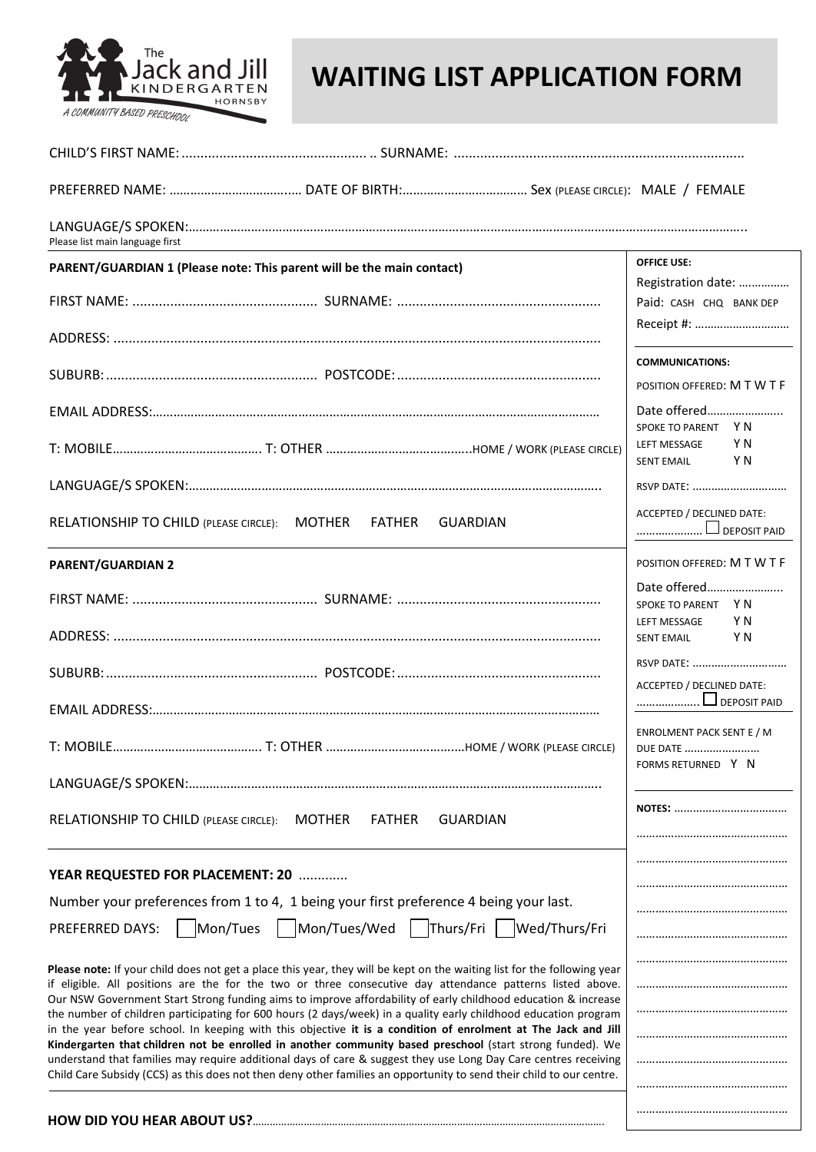

## **WAITING LIST APPLICATION FORM**

| Please list main language first                                                                                                                                                                                                                                                                                                                                                                                                                                |                                                                        |
|----------------------------------------------------------------------------------------------------------------------------------------------------------------------------------------------------------------------------------------------------------------------------------------------------------------------------------------------------------------------------------------------------------------------------------------------------------------|------------------------------------------------------------------------|
| PARENT/GUARDIAN 1 (Please note: This parent will be the main contact)                                                                                                                                                                                                                                                                                                                                                                                          | <b>OFFICE USE:</b>                                                     |
|                                                                                                                                                                                                                                                                                                                                                                                                                                                                | Registration date:<br>Paid: CASH CHQ BANK DEP                          |
|                                                                                                                                                                                                                                                                                                                                                                                                                                                                |                                                                        |
|                                                                                                                                                                                                                                                                                                                                                                                                                                                                | <b>COMMUNICATIONS:</b><br>POSITION OFFERED: M T W T F                  |
|                                                                                                                                                                                                                                                                                                                                                                                                                                                                | Date offered                                                           |
|                                                                                                                                                                                                                                                                                                                                                                                                                                                                | SPOKE TO PARENT Y N<br>Y N<br>LEFT MESSAGE<br>Y N<br><b>SENT EMAIL</b> |
|                                                                                                                                                                                                                                                                                                                                                                                                                                                                | RSVP DATE:                                                             |
| RELATIONSHIP TO CHILD (PLEASE CIRCLE): MOTHER FATHER GUARDIAN                                                                                                                                                                                                                                                                                                                                                                                                  | ACCEPTED / DECLINED DATE:<br>$\Box$ DEPOSIT PAID                       |
| <b>PARENT/GUARDIAN 2</b>                                                                                                                                                                                                                                                                                                                                                                                                                                       | POSITION OFFERED: M T W T F                                            |
|                                                                                                                                                                                                                                                                                                                                                                                                                                                                | Date offered<br>SPOKE TO PARENT Y N<br>YN<br>LEFT MESSAGE              |
|                                                                                                                                                                                                                                                                                                                                                                                                                                                                | <b>Example 19</b><br><b>SENT EMAIL</b>                                 |
|                                                                                                                                                                                                                                                                                                                                                                                                                                                                | RSVP DATE:<br>ACCEPTED / DECLINED DATE:                                |
|                                                                                                                                                                                                                                                                                                                                                                                                                                                                | DEPOSIT PAID                                                           |
|                                                                                                                                                                                                                                                                                                                                                                                                                                                                | <b>ENROLMENT PACK SENT E / M</b><br>DUE DATE<br>FORMS RETURNED Y N     |
|                                                                                                                                                                                                                                                                                                                                                                                                                                                                |                                                                        |
| RELATIONSHIP TO CHILD (PLEASE CIRCLE): MOTHER<br><b>FATHER</b><br><b>GUARDIAN</b>                                                                                                                                                                                                                                                                                                                                                                              | <b>NOTES:</b>                                                          |
|                                                                                                                                                                                                                                                                                                                                                                                                                                                                |                                                                        |
| YEAR REQUESTED FOR PLACEMENT: 20<br>Number your preferences from 1 to 4, 1 being your first preference 4 being your last.                                                                                                                                                                                                                                                                                                                                      |                                                                        |
| Mon/Tues/Wed   Thurs/Fri<br>Mon/Tues<br>Wed/Thurs/Fri<br><b>PREFERRED DAYS:</b>                                                                                                                                                                                                                                                                                                                                                                                |                                                                        |
|                                                                                                                                                                                                                                                                                                                                                                                                                                                                |                                                                        |
| Please note: If your child does not get a place this year, they will be kept on the waiting list for the following year<br>if eligible. All positions are the for the two or three consecutive day attendance patterns listed above.                                                                                                                                                                                                                           |                                                                        |
| Our NSW Government Start Strong funding aims to improve affordability of early childhood education & increase<br>the number of children participating for 600 hours (2 days/week) in a quality early childhood education program<br>in the year before school. In keeping with this objective it is a condition of enrolment at The Jack and Jill<br>Kindergarten that children not be enrolled in another community based preschool (start strong funded). We |                                                                        |
|                                                                                                                                                                                                                                                                                                                                                                                                                                                                |                                                                        |
| understand that families may require additional days of care & suggest they use Long Day Care centres receiving<br>Child Care Subsidy (CCS) as this does not then deny other families an opportunity to send their child to our centre.                                                                                                                                                                                                                        |                                                                        |
|                                                                                                                                                                                                                                                                                                                                                                                                                                                                |                                                                        |

…………………………………………